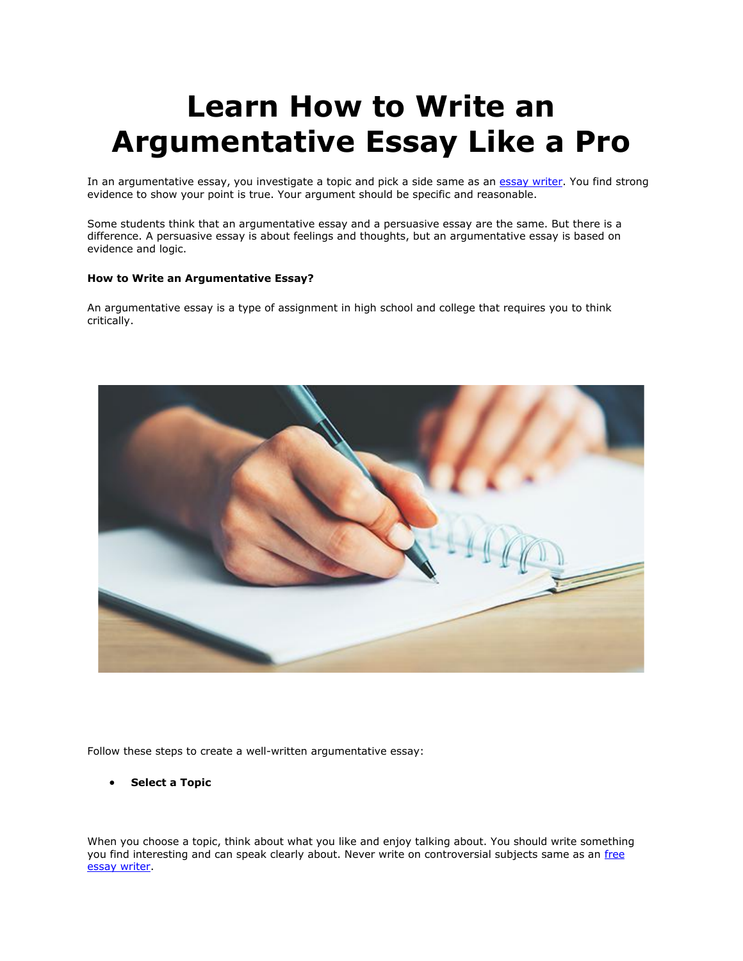# **Learn How to Write an Argumentative Essay Like a Pro**

In an argumentative essay, you investigate a topic and pick a side same as an [essay writer.](https://youressaywriter.net/) You find strong evidence to show your point is true. Your argument should be specific and reasonable.

Some students think that an argumentative essay and a persuasive essay are the same. But there is a difference. A persuasive essay is about feelings and thoughts, but an argumentative essay is based on evidence and logic.

## **How to Write an Argumentative Essay?**

An argumentative essay is a type of assignment in high school and college that requires you to think critically.



Follow these steps to create a well-written argumentative essay:

• **Select a Topic**

When you choose a topic, think about what you like and enjoy talking about. You should write something you find interesting and can speak clearly about. Never write on controversial subjects same as an free [essay writer.](https://youressaywriter.net/)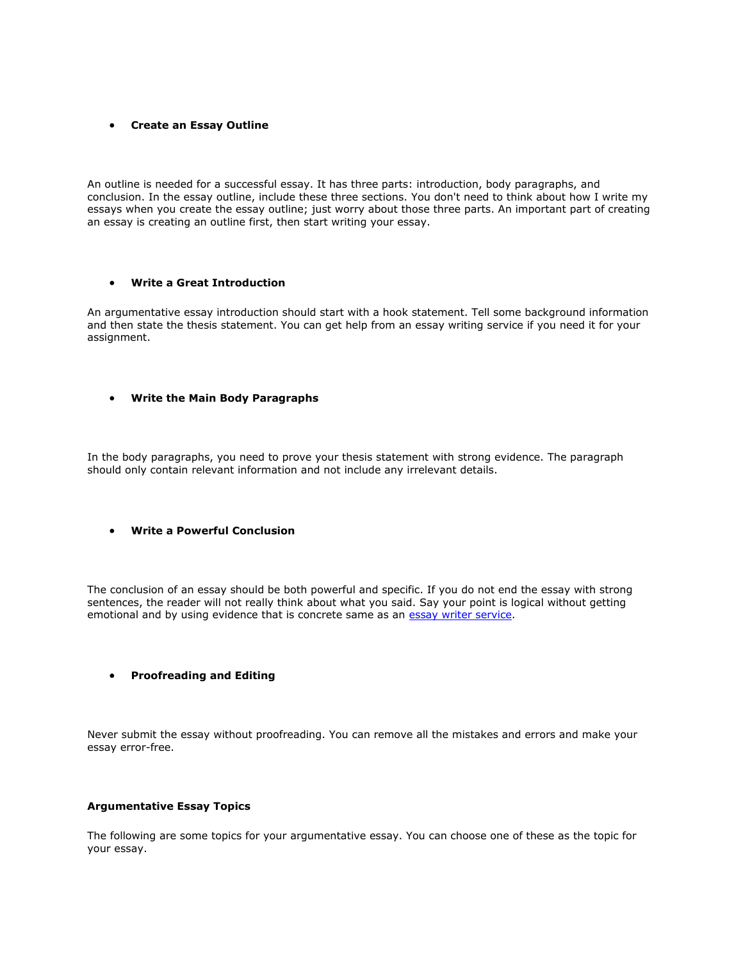#### • **Create an Essay Outline**

An outline is needed for a successful essay. It has three parts: introduction, body paragraphs, and conclusion. In the essay outline, include these three sections. You don't need to think about how I write my essays when you create the essay outline; just worry about those three parts. An important part of creating an essay is creating an outline first, then start writing your essay.

#### • **Write a Great Introduction**

An argumentative essay introduction should start with a hook statement. Tell some background information and then state the thesis statement. You can get help from an essay writing service if you need it for your assignment.

#### • **Write the Main Body Paragraphs**

In the body paragraphs, you need to prove your thesis statement with strong evidence. The paragraph should only contain relevant information and not include any irrelevant details.

# • **Write a Powerful Conclusion**

The conclusion of an essay should be both powerful and specific. If you do not end the essay with strong sentences, the reader will not really think about what you said. Say your point is logical without getting emotional and by using evidence that is concrete same as an [essay writer service.](https://youressaywriter.net/)

#### • **Proofreading and Editing**

Never submit the essay without proofreading. You can remove all the mistakes and errors and make your essay error-free.

#### **Argumentative Essay Topics**

The following are some topics for your argumentative essay. You can choose one of these as the topic for your essay.